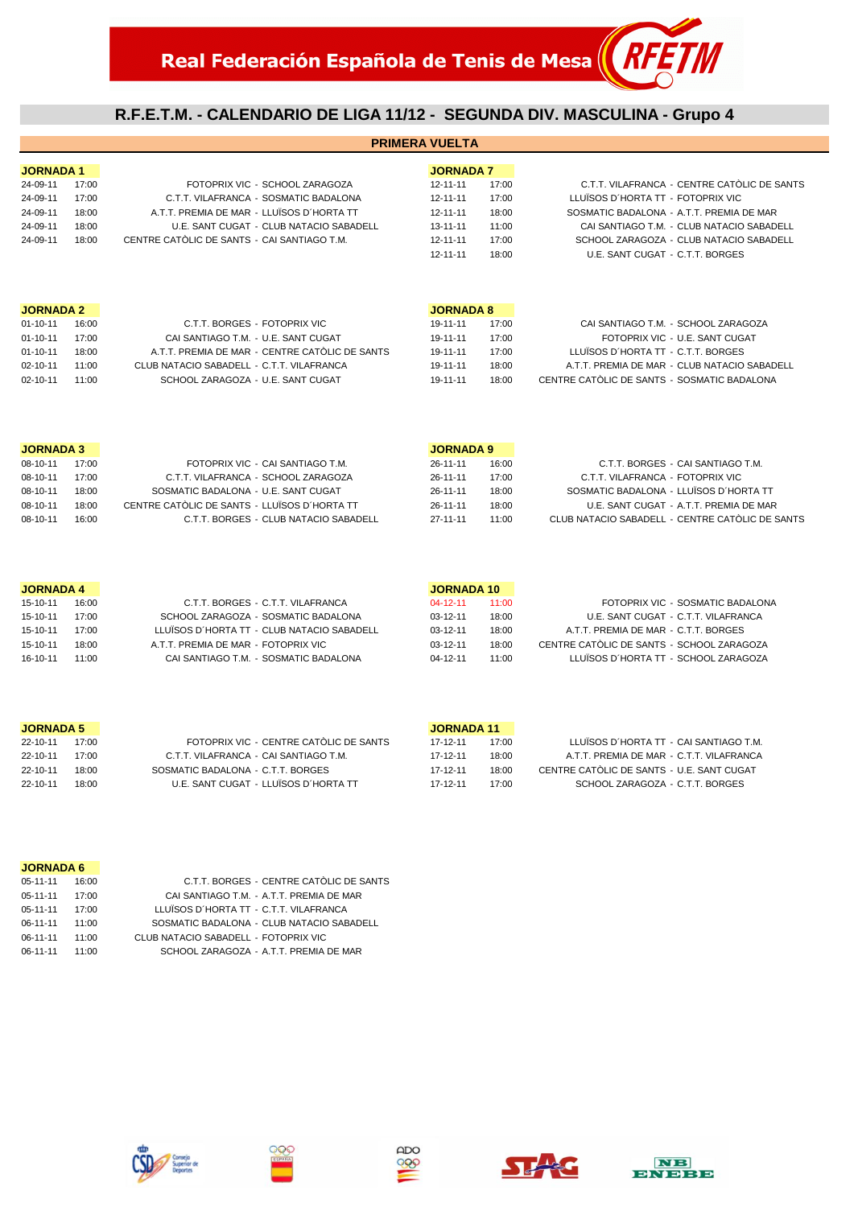## **R.F.E.T.M. - CALENDARIO DE LIGA 11/12 - SEGUNDA DIV. MASCULINA - Grupo 4**

| <b>JORNADA 7</b><br><b>JORNADA1</b><br>C.T.T. VILAFRANCA - CENTRE CATÒLIC DE SANTS<br>24-09-11<br>17:00<br>FOTOPRIX VIC - SCHOOL ZARAGOZA<br>$12 - 11 - 11$<br>17:00<br>C.T.T. VILAFRANCA - SOSMATIC BADALONA<br>$12 - 11 - 11$<br>LLUÏSOS D'HORTA TT - FOTOPRIX VIC<br>24-09-11<br>17:00<br>17:00<br>A.T.T. PREMIA DE MAR - LLUÏSOS D'HORTA TT<br>24-09-11<br>18:00<br>$12 - 11 - 11$<br>18:00<br>SOSMATIC BADALONA - A.T.T. PREMIA DE MAR<br>24-09-11<br>18:00<br>U.E. SANT CUGAT - CLUB NATACIO SABADELL<br>$13 - 11 - 11$<br>11:00<br>CAI SANTIAGO T.M. - CLUB NATACIO SABADELL<br>CENTRE CATÒLIC DE SANTS - CAI SANTIAGO T.M.<br>SCHOOL ZARAGOZA - CLUB NATACIO SABADELL<br>24-09-11<br>18:00<br>$12 - 11 - 11$<br>17:00<br>U.E. SANT CUGAT - C.T.T. BORGES<br>$12 - 11 - 11$<br>18:00<br><b>JORNADA 2</b><br><b>JORNADA 8</b><br>$01 - 10 - 11$<br>C.T.T. BORGES - FOTOPRIX VIC<br>19-11-11<br>CAI SANTIAGO T.M. - SCHOOL ZARAGOZA<br>16:00<br>17:00<br>FOTOPRIX VIC - U.E. SANT CUGAT<br>$01 - 10 - 11$<br>17:00<br>CAI SANTIAGO T.M. - U.E. SANT CUGAT<br>19-11-11<br>17:00<br>A.T.T. PREMIA DE MAR - CENTRE CATÒLIC DE SANTS<br>LLUÏSOS D'HORTA TT - C.T.T. BORGES<br>$01 - 10 - 11$<br>19-11-11<br>17:00<br>18:00<br>CLUB NATACIO SABADELL - C.T.T. VILAFRANCA<br>A.T.T. PREMIA DE MAR - CLUB NATACIO SABADELL<br>$02 - 10 - 11$<br>11:00<br>19-11-11<br>18:00<br>CENTRE CATOLIC DE SANTS - SOSMATIC BADALONA<br>SCHOOL ZARAGOZA - U.E. SANT CUGAT<br>19-11-11<br>$02 - 10 - 11$<br>11:00<br>18:00 |  |
|--------------------------------------------------------------------------------------------------------------------------------------------------------------------------------------------------------------------------------------------------------------------------------------------------------------------------------------------------------------------------------------------------------------------------------------------------------------------------------------------------------------------------------------------------------------------------------------------------------------------------------------------------------------------------------------------------------------------------------------------------------------------------------------------------------------------------------------------------------------------------------------------------------------------------------------------------------------------------------------------------------------------------------------------------------------------------------------------------------------------------------------------------------------------------------------------------------------------------------------------------------------------------------------------------------------------------------------------------------------------------------------------------------------------------------------------------------------------------------------------------------------|--|
|                                                                                                                                                                                                                                                                                                                                                                                                                                                                                                                                                                                                                                                                                                                                                                                                                                                                                                                                                                                                                                                                                                                                                                                                                                                                                                                                                                                                                                                                                                              |  |
|                                                                                                                                                                                                                                                                                                                                                                                                                                                                                                                                                                                                                                                                                                                                                                                                                                                                                                                                                                                                                                                                                                                                                                                                                                                                                                                                                                                                                                                                                                              |  |
|                                                                                                                                                                                                                                                                                                                                                                                                                                                                                                                                                                                                                                                                                                                                                                                                                                                                                                                                                                                                                                                                                                                                                                                                                                                                                                                                                                                                                                                                                                              |  |
|                                                                                                                                                                                                                                                                                                                                                                                                                                                                                                                                                                                                                                                                                                                                                                                                                                                                                                                                                                                                                                                                                                                                                                                                                                                                                                                                                                                                                                                                                                              |  |
|                                                                                                                                                                                                                                                                                                                                                                                                                                                                                                                                                                                                                                                                                                                                                                                                                                                                                                                                                                                                                                                                                                                                                                                                                                                                                                                                                                                                                                                                                                              |  |
|                                                                                                                                                                                                                                                                                                                                                                                                                                                                                                                                                                                                                                                                                                                                                                                                                                                                                                                                                                                                                                                                                                                                                                                                                                                                                                                                                                                                                                                                                                              |  |
|                                                                                                                                                                                                                                                                                                                                                                                                                                                                                                                                                                                                                                                                                                                                                                                                                                                                                                                                                                                                                                                                                                                                                                                                                                                                                                                                                                                                                                                                                                              |  |
|                                                                                                                                                                                                                                                                                                                                                                                                                                                                                                                                                                                                                                                                                                                                                                                                                                                                                                                                                                                                                                                                                                                                                                                                                                                                                                                                                                                                                                                                                                              |  |
|                                                                                                                                                                                                                                                                                                                                                                                                                                                                                                                                                                                                                                                                                                                                                                                                                                                                                                                                                                                                                                                                                                                                                                                                                                                                                                                                                                                                                                                                                                              |  |
|                                                                                                                                                                                                                                                                                                                                                                                                                                                                                                                                                                                                                                                                                                                                                                                                                                                                                                                                                                                                                                                                                                                                                                                                                                                                                                                                                                                                                                                                                                              |  |
|                                                                                                                                                                                                                                                                                                                                                                                                                                                                                                                                                                                                                                                                                                                                                                                                                                                                                                                                                                                                                                                                                                                                                                                                                                                                                                                                                                                                                                                                                                              |  |
|                                                                                                                                                                                                                                                                                                                                                                                                                                                                                                                                                                                                                                                                                                                                                                                                                                                                                                                                                                                                                                                                                                                                                                                                                                                                                                                                                                                                                                                                                                              |  |
|                                                                                                                                                                                                                                                                                                                                                                                                                                                                                                                                                                                                                                                                                                                                                                                                                                                                                                                                                                                                                                                                                                                                                                                                                                                                                                                                                                                                                                                                                                              |  |
|                                                                                                                                                                                                                                                                                                                                                                                                                                                                                                                                                                                                                                                                                                                                                                                                                                                                                                                                                                                                                                                                                                                                                                                                                                                                                                                                                                                                                                                                                                              |  |
| <b>JORNADA 3</b><br><b>JORNADA 9</b><br>08-10-11<br>FOTOPRIX VIC - CAI SANTIAGO T.M.<br>C.T.T. BORGES - CAI SANTIAGO T.M.<br>17:00<br>$26 - 11 - 11$<br>16:00                                                                                                                                                                                                                                                                                                                                                                                                                                                                                                                                                                                                                                                                                                                                                                                                                                                                                                                                                                                                                                                                                                                                                                                                                                                                                                                                                |  |
| 08-10-11<br>C.T.T. VILAFRANCA - SCHOOL ZARAGOZA<br>C.T.T. VILAFRANCA - FOTOPRIX VIC<br>17:00<br>$26 - 11 - 11$<br>17:00                                                                                                                                                                                                                                                                                                                                                                                                                                                                                                                                                                                                                                                                                                                                                                                                                                                                                                                                                                                                                                                                                                                                                                                                                                                                                                                                                                                      |  |
| SOSMATIC BADALONA - LLUÏSOS D'HORTA TT<br>08-10-11<br>SOSMATIC BADALONA - U.E. SANT CUGAT<br>$26 - 11 - 11$<br>18:00<br>18:00                                                                                                                                                                                                                                                                                                                                                                                                                                                                                                                                                                                                                                                                                                                                                                                                                                                                                                                                                                                                                                                                                                                                                                                                                                                                                                                                                                                |  |
| CENTRE CATÒLIC DE SANTS - LLUÏSOS D'HORTA TT<br>U.E. SANT CUGAT - A.T.T. PREMIA DE MAR<br>08-10-11<br>18:00<br>$26 - 11 - 11$<br>18:00                                                                                                                                                                                                                                                                                                                                                                                                                                                                                                                                                                                                                                                                                                                                                                                                                                                                                                                                                                                                                                                                                                                                                                                                                                                                                                                                                                       |  |
| C.T.T. BORGES - CLUB NATACIO SABADELL<br>CLUB NATACIO SABADELL - CENTRE CATÒLIC DE SANTS<br>08-10-11<br>16:00<br>$27 - 11 - 11$<br>11:00                                                                                                                                                                                                                                                                                                                                                                                                                                                                                                                                                                                                                                                                                                                                                                                                                                                                                                                                                                                                                                                                                                                                                                                                                                                                                                                                                                     |  |
|                                                                                                                                                                                                                                                                                                                                                                                                                                                                                                                                                                                                                                                                                                                                                                                                                                                                                                                                                                                                                                                                                                                                                                                                                                                                                                                                                                                                                                                                                                              |  |
| <b>JORNADA 10</b><br><b>JORNADA 4</b>                                                                                                                                                                                                                                                                                                                                                                                                                                                                                                                                                                                                                                                                                                                                                                                                                                                                                                                                                                                                                                                                                                                                                                                                                                                                                                                                                                                                                                                                        |  |
| 15-10-11<br>C.T.T. BORGES - C.T.T. VILAFRANCA<br>$04 - 12 - 11$<br>FOTOPRIX VIC - SOSMATIC BADALONA<br>16:00<br>11:00                                                                                                                                                                                                                                                                                                                                                                                                                                                                                                                                                                                                                                                                                                                                                                                                                                                                                                                                                                                                                                                                                                                                                                                                                                                                                                                                                                                        |  |
| 15-10-11<br>17:00<br>SCHOOL ZARAGOZA - SOSMATIC BADALONA<br>$03 - 12 - 11$<br>U.E. SANT CUGAT - C.T.T. VILAFRANCA<br>18:00                                                                                                                                                                                                                                                                                                                                                                                                                                                                                                                                                                                                                                                                                                                                                                                                                                                                                                                                                                                                                                                                                                                                                                                                                                                                                                                                                                                   |  |
| 15-10-11<br>17:00<br>LLUÏSOS D'HORTA TT - CLUB NATACIO SABADELL<br>$03-12-11$<br>A.T.T. PREMIA DE MAR - C.T.T. BORGES<br>18:00                                                                                                                                                                                                                                                                                                                                                                                                                                                                                                                                                                                                                                                                                                                                                                                                                                                                                                                                                                                                                                                                                                                                                                                                                                                                                                                                                                               |  |
| CENTRE CATÒLIC DE SANTS - SCHOOL ZARAGOZA<br>15-10-11<br>18:00<br>A.T.T. PREMIA DE MAR - FOTOPRIX VIC<br>$03-12-11$<br>18:00                                                                                                                                                                                                                                                                                                                                                                                                                                                                                                                                                                                                                                                                                                                                                                                                                                                                                                                                                                                                                                                                                                                                                                                                                                                                                                                                                                                 |  |
| CAI SANTIAGO T.M. - SOSMATIC BADALONA<br>LLUÏSOS D'HORTA TT - SCHOOL ZARAGOZA<br>16-10-11<br>11:00<br>$04 - 12 - 11$<br>11:00                                                                                                                                                                                                                                                                                                                                                                                                                                                                                                                                                                                                                                                                                                                                                                                                                                                                                                                                                                                                                                                                                                                                                                                                                                                                                                                                                                                |  |
| <b>JORNADA 5</b><br><b>JORNADA 11</b>                                                                                                                                                                                                                                                                                                                                                                                                                                                                                                                                                                                                                                                                                                                                                                                                                                                                                                                                                                                                                                                                                                                                                                                                                                                                                                                                                                                                                                                                        |  |

| 22-10-11 | 17:00 | FOTOPRIX VIC - CENTRE CATÓLIC DE SANTS | 17-12-11 | 17:00 | LLUÏSOS D'HORTA TT - CAI SANTIAGO T.M.    |
|----------|-------|----------------------------------------|----------|-------|-------------------------------------------|
| 22-10-11 | 17:00 | C.T.T. VILAFRANCA - CAI SANTIAGO T.M.  | 17-12-11 | 18:00 | A.T.T. PREMIA DE MAR - C.T.T. VILAFRANCA  |
| 22-10-11 | 18:00 | SOSMATIC BADALONA - C.T.T. BORGES      | 17-12-11 | 18:00 | CENTRE CATOLIC DE SANTS - U.E. SANT CUGAT |
| 22-10-11 | 18:00 | U.E. SANT CUGAT - LLUÏSOS D'HORTA TT   | 17-12-11 | 17.00 | SCHOOL ZARAGOZA - C.T.T. BORGES           |
|          |       |                                        |          |       |                                           |

| <b>JORNADA 6</b> |       |  |
|------------------|-------|--|
| $05 - 11 - 11$   | 16:00 |  |
| $05 - 11 - 11$   | 17.00 |  |
| $05 - 11 - 11$   | 17.00 |  |
| 06-11-11         | 11:00 |  |
|                  |       |  |

C.T.T. BORGES - CENTRE CATÒLIC DE SANTS CAI SANTIAGO T.M. - A.T.T. PREMIA DE MAR LLUÏSOS D´HORTA TT - C.T.T. VILAFRANCA SOSMATIC BADALONA - CLUB NATACIO SABADELL 06-11-11 11:00 CLUB NATACIO SABADELL - FOTOPRIX VIC 06-11-11 11:00 SCHOOL ZARAGOZA - A.T.T. PREMIA DE MAR ##